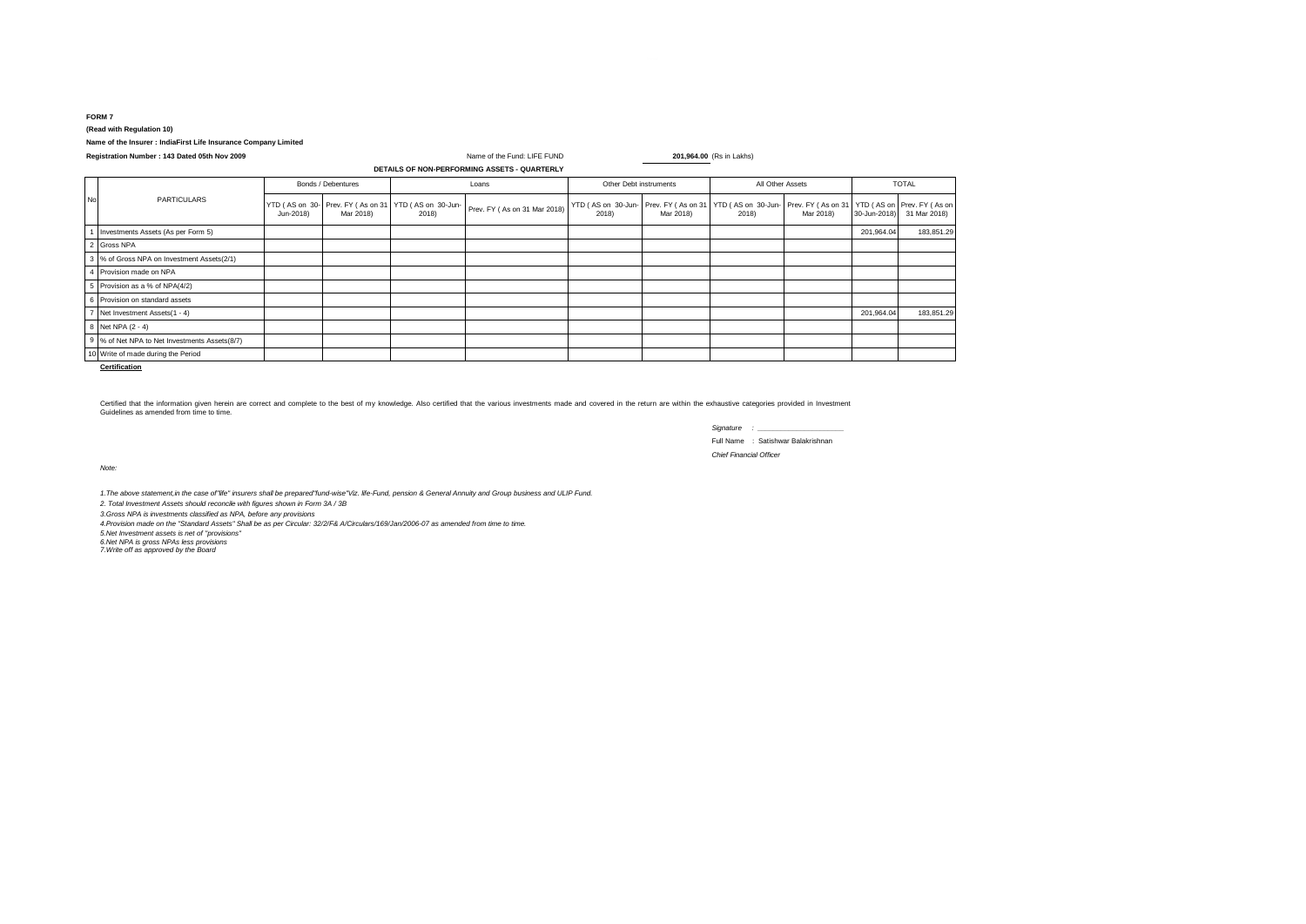## **FORM 7 (Read with Regulation 10)**

## **Name of the Insurer : IndiaFirst Life Insurance Company Limited**

| Registration Number: 143 Dated 05th Nov 2009 |                                               |                    |           | Name of the Fund: LIFE FUND                                    |                              |                        | 201,964.00 (Rs in Lakhs) |                                                                                                                   |           |              |              |
|----------------------------------------------|-----------------------------------------------|--------------------|-----------|----------------------------------------------------------------|------------------------------|------------------------|--------------------------|-------------------------------------------------------------------------------------------------------------------|-----------|--------------|--------------|
| DETAILS OF NON-PERFORMING ASSETS - QUARTERLY |                                               |                    |           |                                                                |                              |                        |                          |                                                                                                                   |           |              |              |
|                                              |                                               | Bonds / Debentures |           | Loans                                                          |                              | Other Debt instruments |                          | All Other Assets                                                                                                  |           | <b>TOTAL</b> |              |
| No                                           | <b>PARTICULARS</b>                            | Jun-2018)          | Mar 2018) | YTD (AS on 30-Prev. FY (As on 31   YTD (AS on 30-Jun-<br>2018) | Prev. FY (As on 31 Mar 2018) | 2018)                  | Mar 2018)                | YTD (AS on 30-Jun-Prev. FY (As on 31   YTD (AS on 30-Jun-Prev. FY (As on 31   YTD (AS on Prev. FY (As on<br>2018) | Mar 2018) | 30-Jun-2018) | 31 Mar 2018) |
|                                              | Investments Assets (As per Form 5)            |                    |           |                                                                |                              |                        |                          |                                                                                                                   |           | 201,964.04   | 183,851.29   |
|                                              | 2 Gross NPA                                   |                    |           |                                                                |                              |                        |                          |                                                                                                                   |           |              |              |
|                                              | 3 % of Gross NPA on Investment Assets(2/1)    |                    |           |                                                                |                              |                        |                          |                                                                                                                   |           |              |              |
|                                              | 4 Provision made on NPA                       |                    |           |                                                                |                              |                        |                          |                                                                                                                   |           |              |              |
|                                              | 5 Provision as a % of NPA(4/2)                |                    |           |                                                                |                              |                        |                          |                                                                                                                   |           |              |              |
|                                              | 6 Provision on standard assets                |                    |           |                                                                |                              |                        |                          |                                                                                                                   |           |              |              |
|                                              | 7 Net Investment Assets(1 - 4)                |                    |           |                                                                |                              |                        |                          |                                                                                                                   |           | 201,964.04   | 183,851.29   |
|                                              | 8 Net NPA (2 - 4)                             |                    |           |                                                                |                              |                        |                          |                                                                                                                   |           |              |              |
|                                              | 9 % of Net NPA to Net Investments Assets(8/7) |                    |           |                                                                |                              |                        |                          |                                                                                                                   |           |              |              |
|                                              | 10 Write of made during the Period            |                    |           |                                                                |                              |                        |                          |                                                                                                                   |           |              |              |

**Certification**

Certified that the information given herein are correct and complete to the best of my knowledge. Also certified that the various investments made and covered in the return are within the exhaustive categories provided in Guidelines as amended from time to time.

| Signature                      | $\sim$ 100                        |  |  |  |  |  |
|--------------------------------|-----------------------------------|--|--|--|--|--|
|                                | Full Name: Satishwar Balakrishnan |  |  |  |  |  |
| <b>Chief Financial Officer</b> |                                   |  |  |  |  |  |

*Note:*

1.The above statement,in the case of"life" insurers shall be prepared"fund-wise"Viz. life-Fund, pension & General Annuity and Group business and ULIP Fund.<br>2. Total Investment Assets should reconcile with figures shown in

*3.Gross NPA is investments classified as NPA, before any provisions*

*4.Provision made on the "Standard Assets" Shall be as per Circular: 32/2/F& A/Circulars/169/Jan/2006-07 as amended from time to time.*

*5.Net Investment assets is net of ''provisions'' 6.Net NPA is gross NPAs less provisions 7.Write off as approved by the Board*